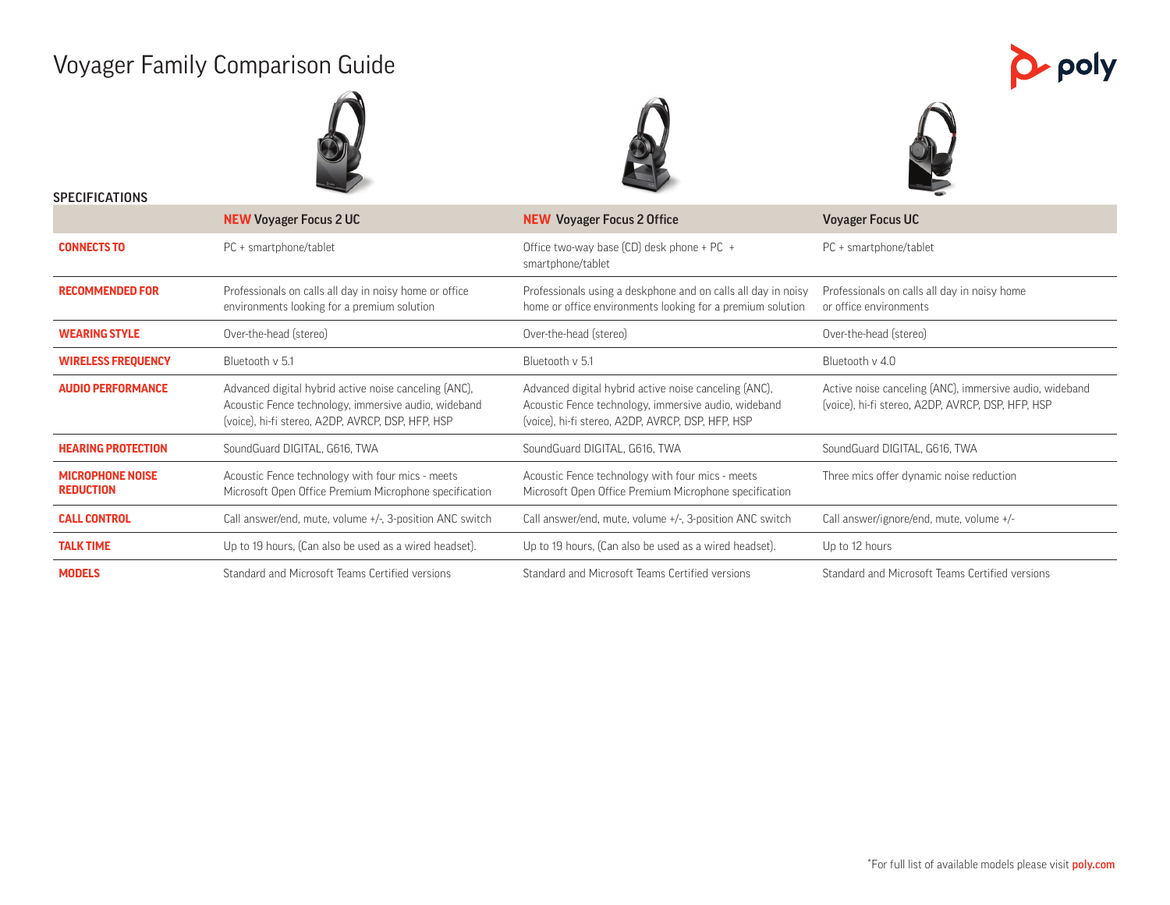# Voyager Family Comparison Guide







p poly

| <b>SPECIFICATIONS</b>                       |                                                                                                                                                                    |                                                                                                                                                                    |                                                                                                              |
|---------------------------------------------|--------------------------------------------------------------------------------------------------------------------------------------------------------------------|--------------------------------------------------------------------------------------------------------------------------------------------------------------------|--------------------------------------------------------------------------------------------------------------|
|                                             | <b>NEW Voyager Focus 2 UC</b>                                                                                                                                      | <b>NEW Voyager Focus 2 Office</b>                                                                                                                                  | <b>Voyager Focus UC</b>                                                                                      |
| <b>CONNECTS TO</b>                          | PC + smartphone/tablet                                                                                                                                             | Office two-way base $(CD)$ desk phone + PC +<br>smartphone/tablet                                                                                                  | PC + smartphone/tablet                                                                                       |
| <b>RECOMMENDED FOR</b>                      | Professionals on calls all day in noisy home or office<br>environments looking for a premium solution                                                              | Professionals using a deskphone and on calls all day in noisy<br>home or office environments looking for a premium solution                                        | Professionals on calls all day in noisy home<br>or office environments                                       |
| <b>WEARING STYLE</b>                        | Over-the-head (stereo)                                                                                                                                             | Over-the-head (stereo)                                                                                                                                             | Over-the-head (stereo)                                                                                       |
| <b>WIRELESS FREQUENCY</b>                   | Bluetooth v 5.1                                                                                                                                                    | Bluetooth v 5.1                                                                                                                                                    | Bluetooth v 4.0                                                                                              |
| <b>AUDIO PERFORMANCE</b>                    | Advanced digital hybrid active noise canceling (ANC),<br>Acoustic Fence technology, immersive audio, wideband<br>(voice), hi-fi stereo, A2DP, AVRCP, DSP, HFP, HSP | Advanced digital hybrid active noise canceling (ANC),<br>Acoustic Fence technology, immersive audio, wideband<br>(voice), hi-fi stereo, A2DP, AVRCP, DSP, HFP, HSP | Active noise canceling (ANC), immersive audio, wideband<br>(voice), hi-fi stereo, A2DP, AVRCP, DSP, HFP, HSP |
| <b>HEARING PROTECTION</b>                   | SoundGuard DIGITAL, G616, TWA                                                                                                                                      | SoundGuard DIGITAL, G616, TWA                                                                                                                                      | SoundGuard DIGITAL, G616, TWA                                                                                |
| <b>MICROPHONE NOISE</b><br><b>REDUCTION</b> | Acoustic Fence technology with four mics - meets<br>Microsoft Open Office Premium Microphone specification                                                         | Acoustic Fence technology with four mics - meets<br>Microsoft Open Office Premium Microphone specification                                                         | Three mics offer dynamic noise reduction                                                                     |
| <b>CALL CONTROL</b>                         | Call answer/end, mute, volume +/-, 3-position ANC switch                                                                                                           | Call answer/end, mute, volume +/-, 3-position ANC switch                                                                                                           | Call answer/ignore/end, mute, volume +/-                                                                     |
| <b>TALK TIME</b>                            | Up to 19 hours, (Can also be used as a wired headset).                                                                                                             | Up to 19 hours, (Can also be used as a wired headset).                                                                                                             | Up to 12 hours                                                                                               |
| <b>MODELS</b>                               | Standard and Microsoft Teams Certified versions                                                                                                                    | Standard and Microsoft Teams Certified versions                                                                                                                    | Standard and Microsoft Teams Certified versions                                                              |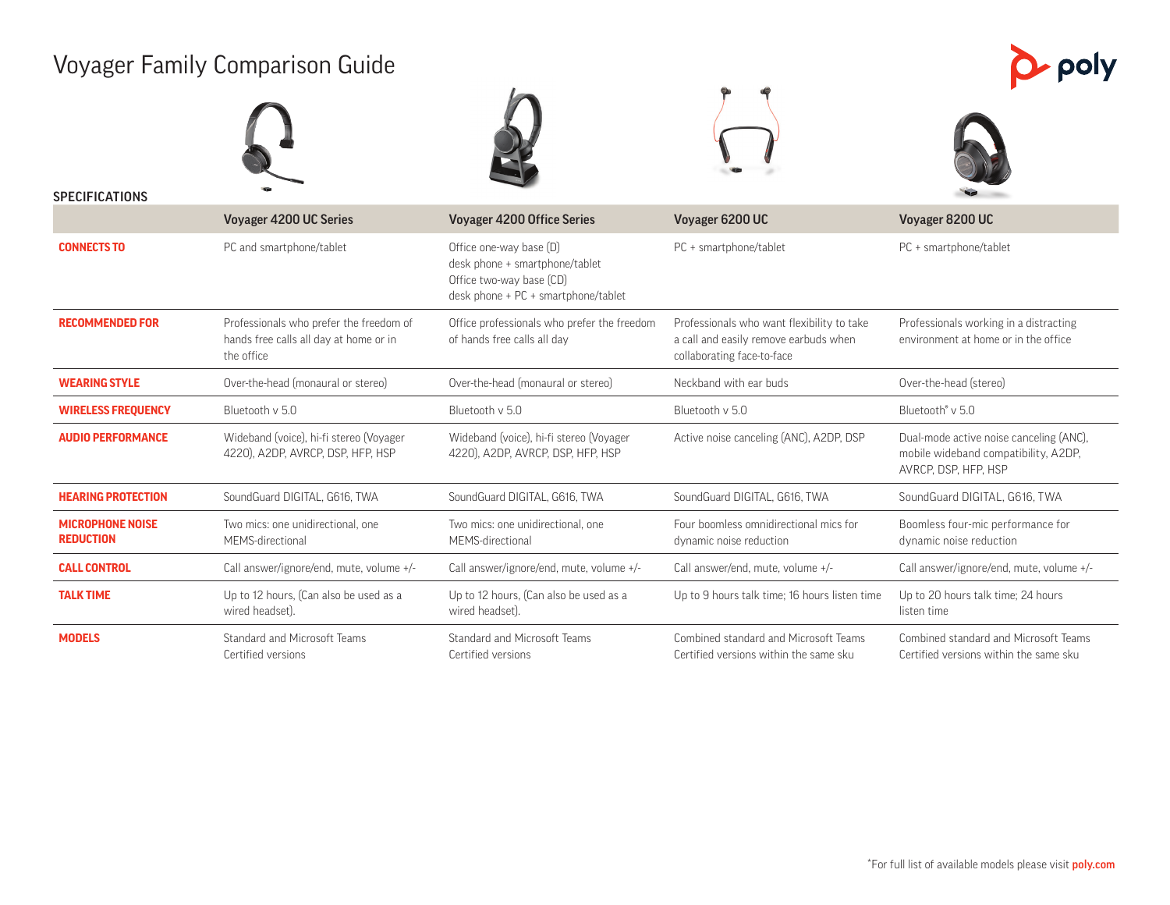# Voyager Family Comparison Guide

| $\blacktriangleright$ poly |
|----------------------------|
|----------------------------|



| <b>SPECIFICATIONS</b>                       |                                                                                                 |                                                                                                                              |                                                                                                                   |                                                                                                         |  |
|---------------------------------------------|-------------------------------------------------------------------------------------------------|------------------------------------------------------------------------------------------------------------------------------|-------------------------------------------------------------------------------------------------------------------|---------------------------------------------------------------------------------------------------------|--|
|                                             | Voyager 4200 UC Series                                                                          | <b>Voyager 4200 Office Series</b>                                                                                            | Voyager 6200 UC                                                                                                   | Voyager 8200 UC                                                                                         |  |
| <b>CONNECTS TO</b>                          | PC and smartphone/tablet                                                                        | Office one-way base (D)<br>desk phone + smartphone/tablet<br>Office two-way base (CD)<br>desk phone + PC + smartphone/tablet | PC + smartphone/tablet                                                                                            | PC + smartphone/tablet                                                                                  |  |
| <b>RECOMMENDED FOR</b>                      | Professionals who prefer the freedom of<br>hands free calls all day at home or in<br>the office | Office professionals who prefer the freedom<br>of hands free calls all day                                                   | Professionals who want flexibility to take<br>a call and easily remove earbuds when<br>collaborating face-to-face | Professionals working in a distracting<br>environment at home or in the office                          |  |
| <b>WEARING STYLE</b>                        | Over-the-head (monaural or stereo)                                                              | Over-the-head (monaural or stereo)                                                                                           | Neckband with ear buds                                                                                            | Over-the-head (stereo)                                                                                  |  |
| <b>WIRELESS FREQUENCY</b>                   | Bluetooth v 5.0                                                                                 | Bluetooth v 5.0                                                                                                              | Bluetooth v 5.0                                                                                                   | Bluetooth <sup>®</sup> v 5.0                                                                            |  |
| <b>AUDIO PERFORMANCE</b>                    | Wideband (voice), hi-fi stereo (Voyager<br>4220), A2DP, AVRCP, DSP, HFP, HSP                    | Wideband (voice), hi-fi stereo (Voyager<br>4220), A2DP, AVRCP, DSP, HFP, HSP                                                 | Active noise canceling (ANC), A2DP, DSP                                                                           | Dual-mode active noise canceling (ANC),<br>mobile wideband compatibility, A2DP,<br>AVRCP, DSP, HFP, HSP |  |
| <b>HEARING PROTECTION</b>                   | SoundGuard DIGITAL, G616, TWA                                                                   | SoundGuard DIGITAL, G616, TWA                                                                                                | SoundGuard DIGITAL, G616, TWA                                                                                     | SoundGuard DIGITAL, G616, TWA                                                                           |  |
| <b>MICROPHONE NOISE</b><br><b>REDUCTION</b> | Two mics: one unidirectional, one<br>MEMS-directional                                           | Two mics: one unidirectional, one<br>MEMS-directional                                                                        | Four boomless omnidirectional mics for<br>dynamic noise reduction                                                 | Boomless four-mic performance for<br>dynamic noise reduction                                            |  |
| <b>CALL CONTROL</b>                         | Call answer/ignore/end, mute, volume +/-                                                        | Call answer/ignore/end, mute, volume +/-                                                                                     | Call answer/end, mute, volume +/-                                                                                 | Call answer/ignore/end, mute, volume +/-                                                                |  |
| <b>TALK TIME</b>                            | Up to 12 hours, (Can also be used as a<br>wired headset).                                       | Up to 12 hours, (Can also be used as a<br>wired headset).                                                                    | Up to 9 hours talk time; 16 hours listen time                                                                     | Up to 20 hours talk time; 24 hours<br>listen time                                                       |  |
| <b>MODELS</b>                               | Standard and Microsoft Teams<br>Certified versions                                              | Standard and Microsoft Teams<br>Certified versions                                                                           | Combined standard and Microsoft Teams<br>Certified versions within the same sku                                   | Combined standard and Microsoft Teams<br>Certified versions within the same sku                         |  |